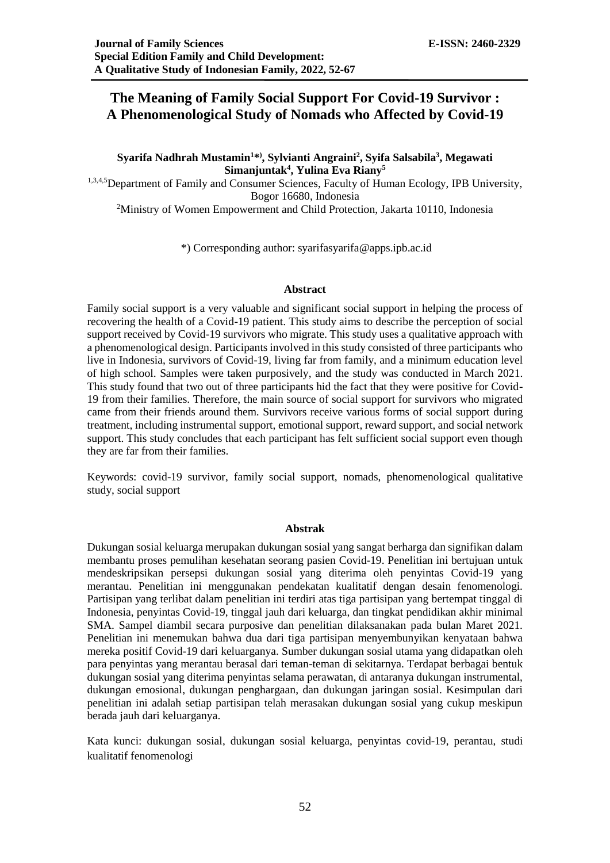# **The Meaning of Family Social Support For Covid-19 Survivor : A Phenomenological Study of Nomads who Affected by Covid-19**

**Syarifa Nadhrah Mustamin<sup>1</sup>\* ) , Sylvianti Angraini<sup>2</sup> , Syifa Salsabila<sup>3</sup> , Megawati Simanjuntak<sup>4</sup> , Yulina Eva Riany<sup>5</sup>**

1,3,4,5 Department of Family and Consumer Sciences, Faculty of Human Ecology, IPB University, Bogor 16680, Indonesia

<sup>2</sup>Ministry of Women Empowerment and Child Protection, Jakarta 10110, Indonesia

\*) Corresponding author: syarifasyarifa@apps.ipb.ac.id

#### **Abstract**

Family social support is a very valuable and significant social support in helping the process of recovering the health of a Covid-19 patient. This study aims to describe the perception of social support received by Covid-19 survivors who migrate. This study uses a qualitative approach with a phenomenological design. Participants involved in this study consisted of three participants who live in Indonesia, survivors of Covid-19, living far from family, and a minimum education level of high school. Samples were taken purposively, and the study was conducted in March 2021. This study found that two out of three participants hid the fact that they were positive for Covid-19 from their families. Therefore, the main source of social support for survivors who migrated came from their friends around them. Survivors receive various forms of social support during treatment, including instrumental support, emotional support, reward support, and social network support. This study concludes that each participant has felt sufficient social support even though they are far from their families.

Keywords: covid-19 survivor, family social support, nomads, phenomenological qualitative study, social support

### **Abstrak**

Dukungan sosial keluarga merupakan dukungan sosial yang sangat berharga dan signifikan dalam membantu proses pemulihan kesehatan seorang pasien Covid-19. Penelitian ini bertujuan untuk mendeskripsikan persepsi dukungan sosial yang diterima oleh penyintas Covid-19 yang merantau. Penelitian ini menggunakan pendekatan kualitatif dengan desain fenomenologi. Partisipan yang terlibat dalam penelitian ini terdiri atas tiga partisipan yang bertempat tinggal di Indonesia, penyintas Covid-19, tinggal jauh dari keluarga, dan tingkat pendidikan akhir minimal SMA. Sampel diambil secara purposive dan penelitian dilaksanakan pada bulan Maret 2021. Penelitian ini menemukan bahwa dua dari tiga partisipan menyembunyikan kenyataan bahwa mereka positif Covid-19 dari keluarganya. Sumber dukungan sosial utama yang didapatkan oleh para penyintas yang merantau berasal dari teman-teman di sekitarnya. Terdapat berbagai bentuk dukungan sosial yang diterima penyintas selama perawatan, di antaranya dukungan instrumental, dukungan emosional, dukungan penghargaan, dan dukungan jaringan sosial. Kesimpulan dari penelitian ini adalah setiap partisipan telah merasakan dukungan sosial yang cukup meskipun berada jauh dari keluarganya.

Kata kunci: dukungan sosial, dukungan sosial keluarga, penyintas covid-19, perantau, studi kualitatif fenomenologi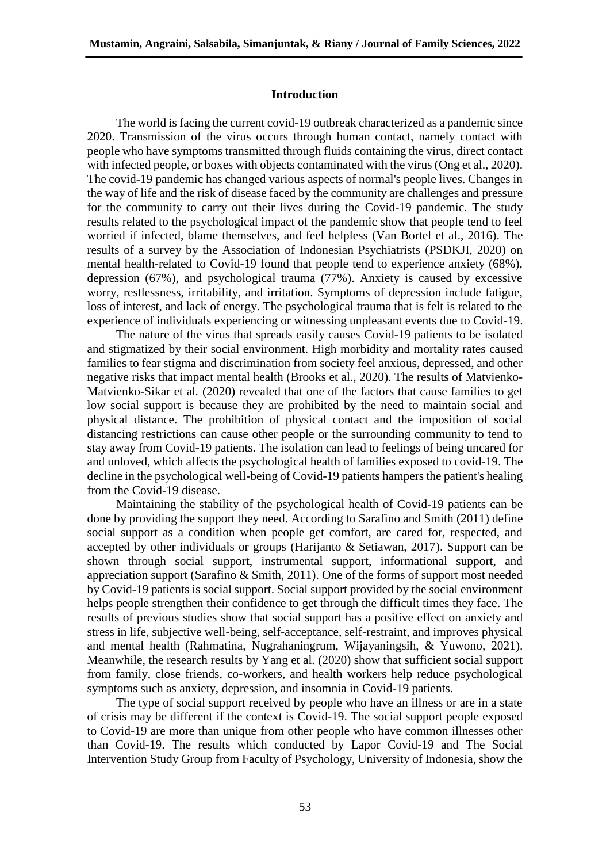## **Introduction**

The world is facing the current covid-19 outbreak characterized as a pandemic since 2020. Transmission of the virus occurs through human contact, namely contact with people who have symptoms transmitted through fluids containing the virus, direct contact with infected people, or boxes with objects contaminated with the virus (Ong et al., 2020). The covid-19 pandemic has changed various aspects of normal's people lives. Changes in the way of life and the risk of disease faced by the community are challenges and pressure for the community to carry out their lives during the Covid-19 pandemic. The study results related to the psychological impact of the pandemic show that people tend to feel worried if infected, blame themselves, and feel helpless (Van Bortel et al., 2016). The results of a survey by the Association of Indonesian Psychiatrists (PSDKJI, 2020) on mental health-related to Covid-19 found that people tend to experience anxiety (68%), depression (67%), and psychological trauma (77%). Anxiety is caused by excessive worry, restlessness, irritability, and irritation. Symptoms of depression include fatigue, loss of interest, and lack of energy. The psychological trauma that is felt is related to the experience of individuals experiencing or witnessing unpleasant events due to Covid-19.

The nature of the virus that spreads easily causes Covid-19 patients to be isolated and stigmatized by their social environment. High morbidity and mortality rates caused families to fear stigma and discrimination from society feel anxious, depressed, and other negative risks that impact mental health (Brooks et al., 2020). The results of Matvienko-Matvienko-Sikar et al*.* (2020) revealed that one of the factors that cause families to get low social support is because they are prohibited by the need to maintain social and physical distance. The prohibition of physical contact and the imposition of social distancing restrictions can cause other people or the surrounding community to tend to stay away from Covid-19 patients. The isolation can lead to feelings of being uncared for and unloved, which affects the psychological health of families exposed to covid-19. The decline in the psychological well-being of Covid-19 patients hampers the patient's healing from the Covid-19 disease.

Maintaining the stability of the psychological health of Covid-19 patients can be done by providing the support they need. According to Sarafino and Smith (2011) define social support as a condition when people get comfort, are cared for, respected, and accepted by other individuals or groups (Harijanto & Setiawan, 2017). Support can be shown through social support, instrumental support, informational support, and appreciation support (Sarafino & Smith, 2011). One of the forms of support most needed by Covid-19 patients is social support. Social support provided by the social environment helps people strengthen their confidence to get through the difficult times they face. The results of previous studies show that social support has a positive effect on anxiety and stress in life, subjective well-being, self-acceptance, self-restraint, and improves physical and mental health (Rahmatina, Nugrahaningrum, Wijayaningsih, & Yuwono, 2021). Meanwhile, the research results by Yang et al. (2020) show that sufficient social support from family, close friends, co-workers, and health workers help reduce psychological symptoms such as anxiety, depression, and insomnia in Covid-19 patients.

The type of social support received by people who have an illness or are in a state of crisis may be different if the context is Covid-19. The social support people exposed to Covid-19 are more than unique from other people who have common illnesses other than Covid-19. The results which conducted by Lapor Covid-19 and The Social Intervention Study Group from Faculty of Psychology, University of Indonesia, show the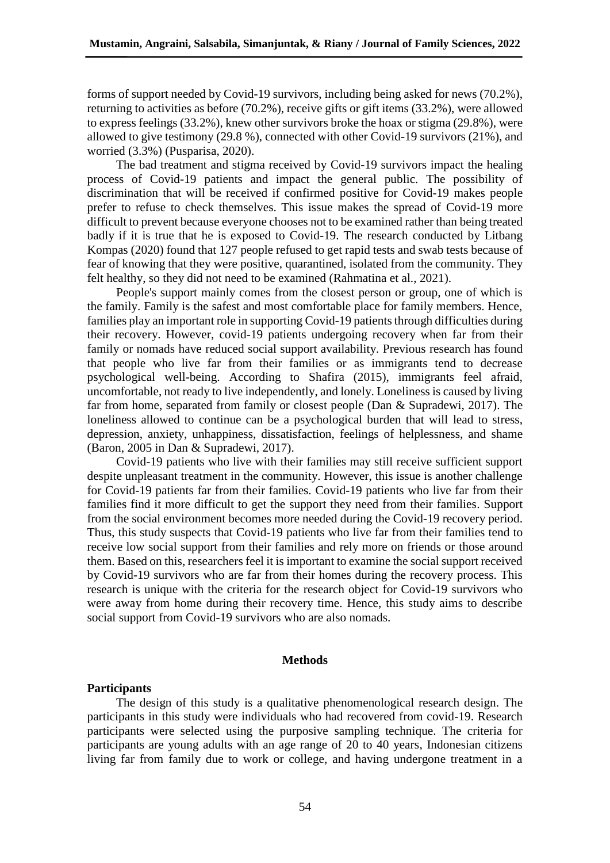forms of support needed by Covid-19 survivors, including being asked for news (70.2%), returning to activities as before (70.2%), receive gifts or gift items (33.2%), were allowed to express feelings (33.2%), knew other survivors broke the hoax or stigma (29.8%), were allowed to give testimony (29.8 %), connected with other Covid-19 survivors (21%), and worried (3.3%) (Pusparisa, 2020).

The bad treatment and stigma received by Covid-19 survivors impact the healing process of Covid-19 patients and impact the general public. The possibility of discrimination that will be received if confirmed positive for Covid-19 makes people prefer to refuse to check themselves. This issue makes the spread of Covid-19 more difficult to prevent because everyone chooses not to be examined rather than being treated badly if it is true that he is exposed to Covid-19. The research conducted by Litbang Kompas (2020) found that 127 people refused to get rapid tests and swab tests because of fear of knowing that they were positive, quarantined, isolated from the community. They felt healthy, so they did not need to be examined (Rahmatina et al., 2021).

People's support mainly comes from the closest person or group, one of which is the family. Family is the safest and most comfortable place for family members. Hence, families play an important role in supporting Covid-19 patients through difficulties during their recovery. However, covid-19 patients undergoing recovery when far from their family or nomads have reduced social support availability. Previous research has found that people who live far from their families or as immigrants tend to decrease psychological well-being. According to Shafira (2015), immigrants feel afraid, uncomfortable, not ready to live independently, and lonely. Loneliness is caused by living far from home, separated from family or closest people (Dan & Supradewi, 2017). The loneliness allowed to continue can be a psychological burden that will lead to stress, depression, anxiety, unhappiness, dissatisfaction, feelings of helplessness, and shame (Baron, 2005 in Dan & Supradewi, 2017).

Covid-19 patients who live with their families may still receive sufficient support despite unpleasant treatment in the community. However, this issue is another challenge for Covid-19 patients far from their families. Covid-19 patients who live far from their families find it more difficult to get the support they need from their families. Support from the social environment becomes more needed during the Covid-19 recovery period. Thus, this study suspects that Covid-19 patients who live far from their families tend to receive low social support from their families and rely more on friends or those around them. Based on this, researchers feel it is important to examine the social support received by Covid-19 survivors who are far from their homes during the recovery process. This research is unique with the criteria for the research object for Covid-19 survivors who were away from home during their recovery time. Hence, this study aims to describe social support from Covid-19 survivors who are also nomads.

#### **Methods**

#### **Participants**

The design of this study is a qualitative phenomenological research design. The participants in this study were individuals who had recovered from covid-19. Research participants were selected using the purposive sampling technique. The criteria for participants are young adults with an age range of 20 to 40 years, Indonesian citizens living far from family due to work or college, and having undergone treatment in a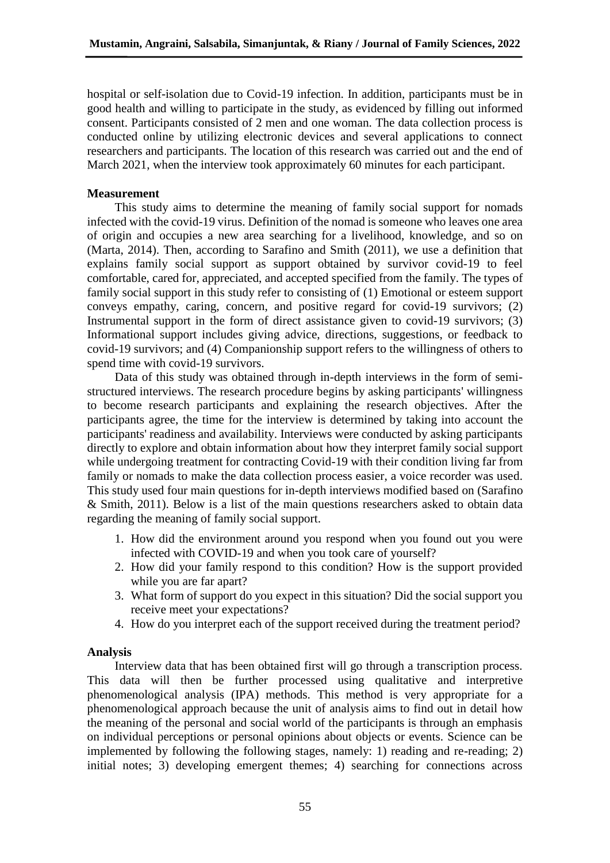hospital or self-isolation due to Covid-19 infection. In addition, participants must be in good health and willing to participate in the study, as evidenced by filling out informed consent. Participants consisted of 2 men and one woman. The data collection process is conducted online by utilizing electronic devices and several applications to connect researchers and participants. The location of this research was carried out and the end of March 2021, when the interview took approximately 60 minutes for each participant.

## **Measurement**

This study aims to determine the meaning of family social support for nomads infected with the covid-19 virus. Definition of the nomad is someone who leaves one area of origin and occupies a new area searching for a livelihood, knowledge, and so on (Marta, 2014). Then, according to Sarafino and Smith (2011), we use a definition that explains family social support as support obtained by survivor covid-19 to feel comfortable, cared for, appreciated, and accepted specified from the family. The types of family social support in this study refer to consisting of (1) Emotional or esteem support conveys empathy, caring, concern, and positive regard for covid-19 survivors; (2) Instrumental support in the form of direct assistance given to covid-19 survivors; (3) Informational support includes giving advice, directions, suggestions, or feedback to covid-19 survivors; and (4) Companionship support refers to the willingness of others to spend time with covid-19 survivors.

Data of this study was obtained through in-depth interviews in the form of semistructured interviews. The research procedure begins by asking participants' willingness to become research participants and explaining the research objectives. After the participants agree, the time for the interview is determined by taking into account the participants' readiness and availability. Interviews were conducted by asking participants directly to explore and obtain information about how they interpret family social support while undergoing treatment for contracting Covid-19 with their condition living far from family or nomads to make the data collection process easier, a voice recorder was used. This study used four main questions for in-depth interviews modified based on (Sarafino & Smith, 2011). Below is a list of the main questions researchers asked to obtain data regarding the meaning of family social support.

- 1. How did the environment around you respond when you found out you were infected with COVID-19 and when you took care of yourself?
- 2. How did your family respond to this condition? How is the support provided while you are far apart?
- 3. What form of support do you expect in this situation? Did the social support you receive meet your expectations?
- 4. How do you interpret each of the support received during the treatment period?

## **Analysis**

Interview data that has been obtained first will go through a transcription process. This data will then be further processed using qualitative and interpretive phenomenological analysis (IPA) methods. This method is very appropriate for a phenomenological approach because the unit of analysis aims to find out in detail how the meaning of the personal and social world of the participants is through an emphasis on individual perceptions or personal opinions about objects or events. Science can be implemented by following the following stages, namely: 1) reading and re-reading; 2) initial notes; 3) developing emergent themes; 4) searching for connections across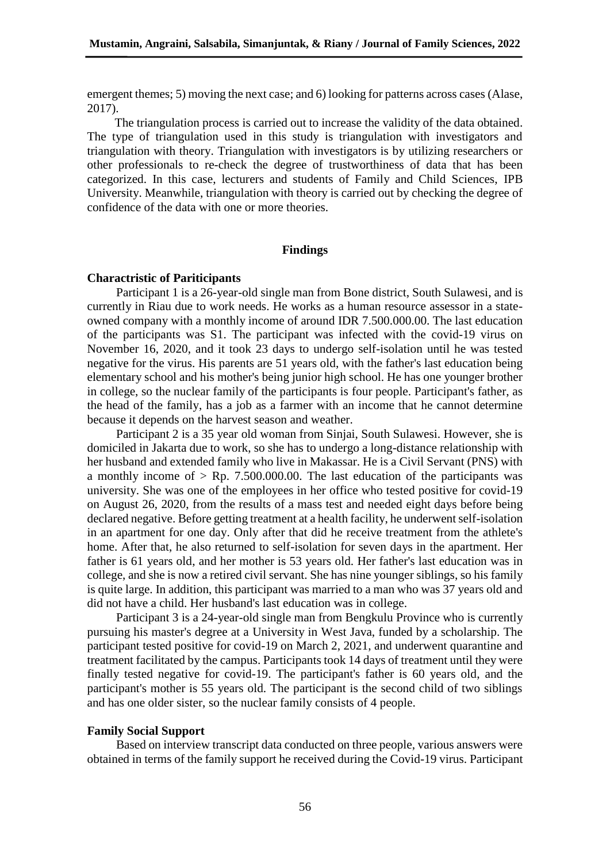emergent themes; 5) moving the next case; and 6) looking for patterns across cases (Alase, 2017).

The triangulation process is carried out to increase the validity of the data obtained. The type of triangulation used in this study is triangulation with investigators and triangulation with theory. Triangulation with investigators is by utilizing researchers or other professionals to re-check the degree of trustworthiness of data that has been categorized. In this case, lecturers and students of Family and Child Sciences, IPB University. Meanwhile, triangulation with theory is carried out by checking the degree of confidence of the data with one or more theories.

#### **Findings**

#### **Charactristic of Pariticipants**

Participant 1 is a 26-year-old single man from Bone district, South Sulawesi, and is currently in Riau due to work needs. He works as a human resource assessor in a stateowned company with a monthly income of around IDR 7.500.000.00. The last education of the participants was S1. The participant was infected with the covid-19 virus on November 16, 2020, and it took 23 days to undergo self-isolation until he was tested negative for the virus. His parents are 51 years old, with the father's last education being elementary school and his mother's being junior high school. He has one younger brother in college, so the nuclear family of the participants is four people. Participant's father, as the head of the family, has a job as a farmer with an income that he cannot determine because it depends on the harvest season and weather.

Participant 2 is a 35 year old woman from Sinjai, South Sulawesi. However, she is domiciled in Jakarta due to work, so she has to undergo a long-distance relationship with her husband and extended family who live in Makassar. He is a Civil Servant (PNS) with a monthly income of  $>$  Rp. 7.500,000,00. The last education of the participants was university. She was one of the employees in her office who tested positive for covid-19 on August 26, 2020, from the results of a mass test and needed eight days before being declared negative. Before getting treatment at a health facility, he underwent self-isolation in an apartment for one day. Only after that did he receive treatment from the athlete's home. After that, he also returned to self-isolation for seven days in the apartment. Her father is 61 years old, and her mother is 53 years old. Her father's last education was in college, and she is now a retired civil servant. She has nine younger siblings, so his family is quite large. In addition, this participant was married to a man who was 37 years old and did not have a child. Her husband's last education was in college.

Participant 3 is a 24-year-old single man from Bengkulu Province who is currently pursuing his master's degree at a University in West Java, funded by a scholarship. The participant tested positive for covid-19 on March 2, 2021, and underwent quarantine and treatment facilitated by the campus. Participants took 14 days of treatment until they were finally tested negative for covid-19. The participant's father is 60 years old, and the participant's mother is 55 years old. The participant is the second child of two siblings and has one older sister, so the nuclear family consists of 4 people.

## **Family Social Support**

Based on interview transcript data conducted on three people, various answers were obtained in terms of the family support he received during the Covid-19 virus. Participant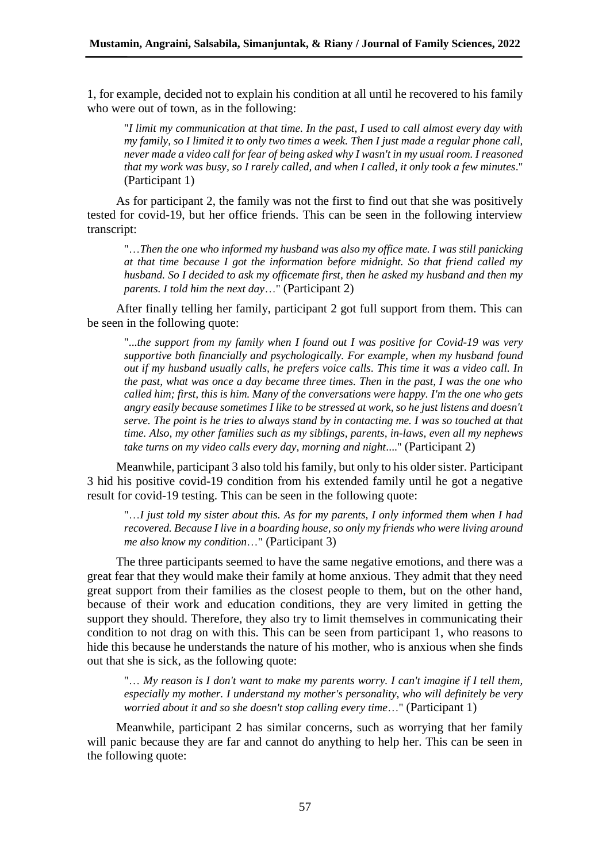1, for example, decided not to explain his condition at all until he recovered to his family who were out of town, as in the following:

"*I limit my communication at that time. In the past, I used to call almost every day with my family, so I limited it to only two times a week. Then I just made a regular phone call, never made a video call for fear of being asked why I wasn't in my usual room. I reasoned that my work was busy, so I rarely called, and when I called, it only took a few minutes*." (Participant 1)

As for participant 2, the family was not the first to find out that she was positively tested for covid-19, but her office friends. This can be seen in the following interview transcript:

"…*Then the one who informed my husband was also my office mate. I was still panicking at that time because I got the information before midnight. So that friend called my husband. So I decided to ask my officemate first, then he asked my husband and then my parents. I told him the next day*…" (Participant 2)

After finally telling her family, participant 2 got full support from them. This can be seen in the following quote:

"...*the support from my family when I found out I was positive for Covid-19 was very supportive both financially and psychologically. For example, when my husband found out if my husband usually calls, he prefers voice calls. This time it was a video call. In the past, what was once a day became three times. Then in the past, I was the one who called him; first, this is him. Many of the conversations were happy. I'm the one who gets angry easily because sometimes I like to be stressed at work, so he just listens and doesn't serve. The point is he tries to always stand by in contacting me. I was so touched at that time. Also, my other families such as my siblings, parents, in-laws, even all my nephews take turns on my video calls every day, morning and night*...." (Participant 2)

Meanwhile, participant 3 also told his family, but only to his older sister. Participant 3 hid his positive covid-19 condition from his extended family until he got a negative result for covid-19 testing. This can be seen in the following quote:

"…*I just told my sister about this. As for my parents, I only informed them when I had recovered. Because I live in a boarding house, so only my friends who were living around me also know my condition*…" (Participant 3)

The three participants seemed to have the same negative emotions, and there was a great fear that they would make their family at home anxious. They admit that they need great support from their families as the closest people to them, but on the other hand, because of their work and education conditions, they are very limited in getting the support they should. Therefore, they also try to limit themselves in communicating their condition to not drag on with this. This can be seen from participant 1, who reasons to hide this because he understands the nature of his mother, who is anxious when she finds out that she is sick, as the following quote:

"… *My reason is I don't want to make my parents worry. I can't imagine if I tell them, especially my mother. I understand my mother's personality, who will definitely be very worried about it and so she doesn't stop calling every time*…" (Participant 1)

Meanwhile, participant 2 has similar concerns, such as worrying that her family will panic because they are far and cannot do anything to help her. This can be seen in the following quote: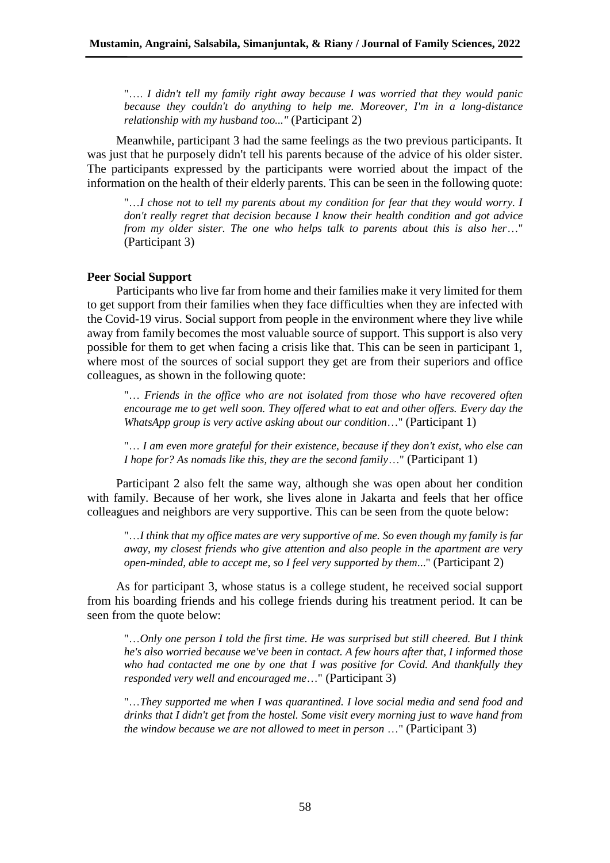"…. *I didn't tell my family right away because I was worried that they would panic because they couldn't do anything to help me. Moreover, I'm in a long-distance relationship with my husband too..."* (Participant 2)

Meanwhile, participant 3 had the same feelings as the two previous participants. It was just that he purposely didn't tell his parents because of the advice of his older sister. The participants expressed by the participants were worried about the impact of the information on the health of their elderly parents. This can be seen in the following quote:

"...I chose not to tell my parents about my condition for fear that they would worry. I *don't really regret that decision because I know their health condition and got advice from my older sister. The one who helps talk to parents about this is also her*…" (Participant 3)

## **Peer Social Support**

Participants who live far from home and their families make it very limited for them to get support from their families when they face difficulties when they are infected with the Covid-19 virus. Social support from people in the environment where they live while away from family becomes the most valuable source of support. This support is also very possible for them to get when facing a crisis like that. This can be seen in participant 1, where most of the sources of social support they get are from their superiors and office colleagues, as shown in the following quote:

"… *Friends in the office who are not isolated from those who have recovered often encourage me to get well soon. They offered what to eat and other offers. Every day the WhatsApp group is very active asking about our condition*…" (Participant 1)

"… *I am even more grateful for their existence, because if they don't exist, who else can I hope for? As nomads like this, they are the second family*…" (Participant 1)

Participant 2 also felt the same way, although she was open about her condition with family. Because of her work, she lives alone in Jakarta and feels that her office colleagues and neighbors are very supportive. This can be seen from the quote below:

"…*I think that my office mates are very supportive of me. So even though my family is far away, my closest friends who give attention and also people in the apartment are very open-minded, able to accept me, so I feel very supported by them*..." (Participant 2)

As for participant 3, whose status is a college student, he received social support from his boarding friends and his college friends during his treatment period. It can be seen from the quote below:

"…*Only one person I told the first time. He was surprised but still cheered. But I think he's also worried because we've been in contact. A few hours after that, I informed those*  who had contacted me one by one that I was positive for Covid. And thankfully they *responded very well and encouraged me*…" (Participant 3)

"…*They supported me when I was quarantined. I love social media and send food and drinks that I didn't get from the hostel. Some visit every morning just to wave hand from the window because we are not allowed to meet in person* …" (Participant 3)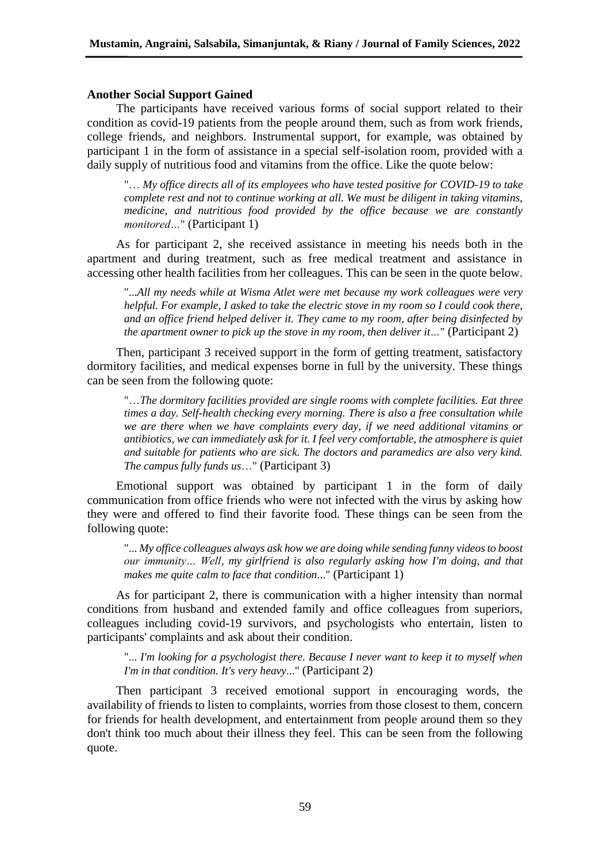#### **Another Social Support Gained**

The participants have received various forms of social support related to their condition as covid-19 patients from the people around them, such as from work friends, college friends, and neighbors. Instrumental support, for example, was obtained by participant 1 in the form of assistance in a special self-isolation room, provided with a daily supply of nutritious food and vitamins from the office. Like the quote below:

"… *My office directs all of its employees who have tested positive for COVID-19 to take complete rest and not to continue working at all. We must be diligent in taking vitamins, medicine, and nutritious food provided by the office because we are constantly monitored…*" (Participant 1)

As for participant 2, she received assistance in meeting his needs both in the apartment and during treatment, such as free medical treatment and assistance in accessing other health facilities from her colleagues. This can be seen in the quote below.

"...*All my needs while at Wisma Atlet were met because my work colleagues were very helpful. For example, I asked to take the electric stove in my room so I could cook there, and an office friend helped deliver it. They came to my room, after being disinfected by the apartment owner to pick up the stove in my room, then deliver it…*" (Participant 2)

Then, participant 3 received support in the form of getting treatment, satisfactory dormitory facilities, and medical expenses borne in full by the university. These things can be seen from the following quote:

"…*The dormitory facilities provided are single rooms with complete facilities. Eat three times a day. Self-health checking every morning. There is also a free consultation while we are there when we have complaints every day, if we need additional vitamins or antibiotics, we can immediately ask for it. I feel very comfortable, the atmosphere is quiet and suitable for patients who are sick. The doctors and paramedics are also very kind. The campus fully funds us*…" (Participant 3)

Emotional support was obtained by participant 1 in the form of daily communication from office friends who were not infected with the virus by asking how they were and offered to find their favorite food. These things can be seen from the following quote:

"... *My office colleagues always ask how we are doing while sending funny videos to boost our immunity… Well, my girlfriend is also regularly asking how I'm doing, and that makes me quite calm to face that condition*..." (Participant 1)

As for participant 2, there is communication with a higher intensity than normal conditions from husband and extended family and office colleagues from superiors, colleagues including covid-19 survivors, and psychologists who entertain, listen to participants' complaints and ask about their condition.

"... *I'm looking for a psychologist there. Because I never want to keep it to myself when I'm in that condition. It's very heavy*..." (Participant 2)

Then participant 3 received emotional support in encouraging words, the availability of friends to listen to complaints, worries from those closest to them, concern for friends for health development, and entertainment from people around them so they don't think too much about their illness they feel. This can be seen from the following quote.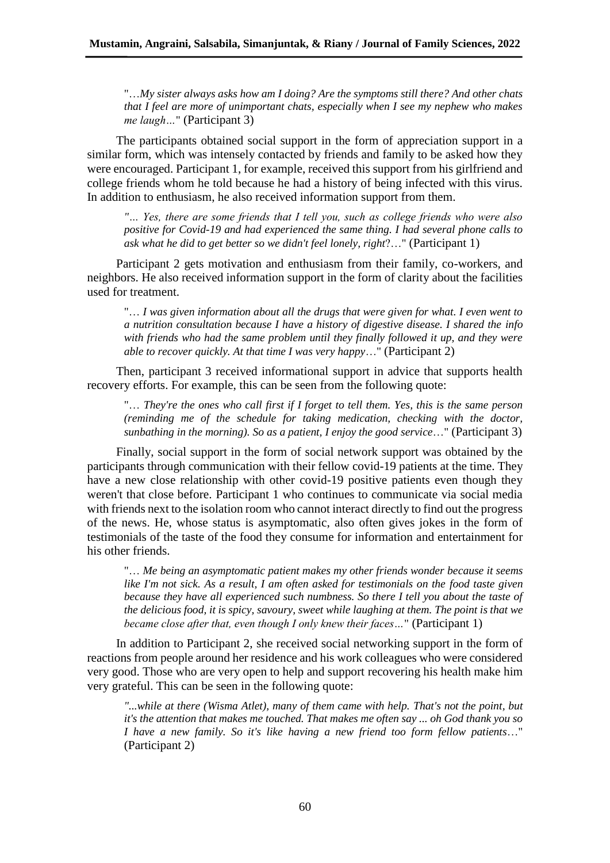"…*My sister always asks how am I doing? Are the symptoms still there? And other chats that I feel are more of unimportant chats, especially when I see my nephew who makes me laugh…*" (Participant 3)

The participants obtained social support in the form of appreciation support in a similar form, which was intensely contacted by friends and family to be asked how they were encouraged. Participant 1, for example, received this support from his girlfriend and college friends whom he told because he had a history of being infected with this virus. In addition to enthusiasm, he also received information support from them.

*"… Yes, there are some friends that I tell you, such as college friends who were also positive for Covid-19 and had experienced the same thing. I had several phone calls to ask what he did to get better so we didn't feel lonely, right*?…" (Participant 1)

Participant 2 gets motivation and enthusiasm from their family, co-workers, and neighbors. He also received information support in the form of clarity about the facilities used for treatment.

"… *I was given information about all the drugs that were given for what. I even went to a nutrition consultation because I have a history of digestive disease. I shared the info with friends who had the same problem until they finally followed it up, and they were able to recover quickly. At that time I was very happy*…" (Participant 2)

Then, participant 3 received informational support in advice that supports health recovery efforts. For example, this can be seen from the following quote:

"… *They're the ones who call first if I forget to tell them. Yes, this is the same person (reminding me of the schedule for taking medication, checking with the doctor, sunbathing in the morning). So as a patient, I enjoy the good service*…" (Participant 3)

Finally, social support in the form of social network support was obtained by the participants through communication with their fellow covid-19 patients at the time. They have a new close relationship with other covid-19 positive patients even though they weren't that close before. Participant 1 who continues to communicate via social media with friends next to the isolation room who cannot interact directly to find out the progress of the news. He, whose status is asymptomatic, also often gives jokes in the form of testimonials of the taste of the food they consume for information and entertainment for his other friends.

"… *Me being an asymptomatic patient makes my other friends wonder because it seems like I'm not sick. As a result, I am often asked for testimonials on the food taste given because they have all experienced such numbness. So there I tell you about the taste of the delicious food, it is spicy, savoury, sweet while laughing at them. The point is that we became close after that, even though I only knew their faces…*" (Participant 1)

In addition to Participant 2, she received social networking support in the form of reactions from people around her residence and his work colleagues who were considered very good. Those who are very open to help and support recovering his health make him very grateful. This can be seen in the following quote:

*"...while at there (Wisma Atlet), many of them came with help. That's not the point, but it's the attention that makes me touched. That makes me often say ... oh God thank you so I have a new family. So it's like having a new friend too form fellow patients*…" (Participant 2)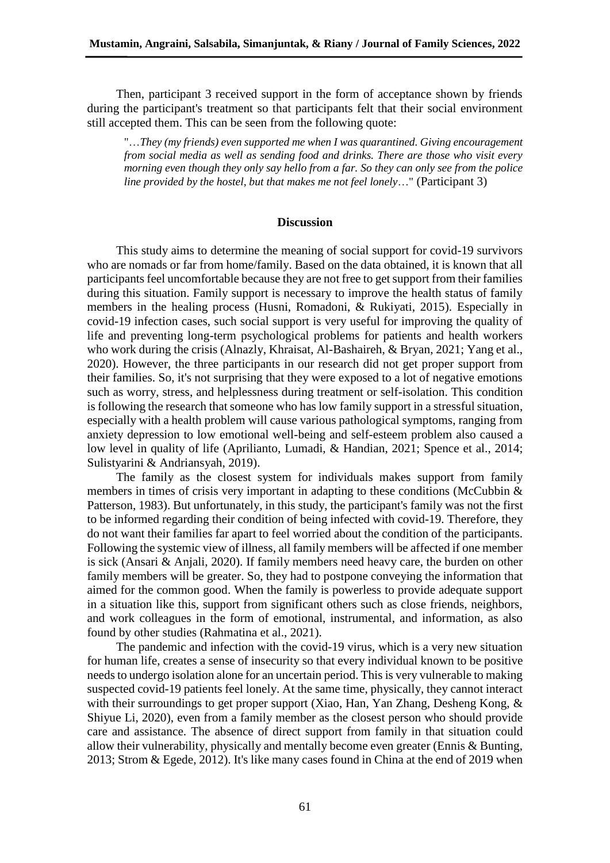Then, participant 3 received support in the form of acceptance shown by friends during the participant's treatment so that participants felt that their social environment still accepted them. This can be seen from the following quote:

"…*They (my friends) even supported me when I was quarantined. Giving encouragement from social media as well as sending food and drinks. There are those who visit every morning even though they only say hello from a far. So they can only see from the police line provided by the hostel, but that makes me not feel lonely*…" (Participant 3)

#### **Discussion**

This study aims to determine the meaning of social support for covid-19 survivors who are nomads or far from home/family. Based on the data obtained, it is known that all participants feel uncomfortable because they are not free to get support from their families during this situation. Family support is necessary to improve the health status of family members in the healing process (Husni, Romadoni, & Rukiyati, 2015). Especially in covid-19 infection cases, such social support is very useful for improving the quality of life and preventing long-term psychological problems for patients and health workers who work during the crisis (Alnazly, Khraisat, Al-Bashaireh, & Bryan, 2021; Yang et al., 2020). However, the three participants in our research did not get proper support from their families. So, it's not surprising that they were exposed to a lot of negative emotions such as worry, stress, and helplessness during treatment or self-isolation. This condition is following the research that someone who has low family support in a stressful situation, especially with a health problem will cause various pathological symptoms, ranging from anxiety depression to low emotional well-being and self-esteem problem also caused a low level in quality of life (Aprilianto, Lumadi, & Handian, 2021; Spence et al., 2014; Sulistyarini & Andriansyah, 2019).

The family as the closest system for individuals makes support from family members in times of crisis very important in adapting to these conditions (McCubbin  $\&$ Patterson, 1983). But unfortunately, in this study, the participant's family was not the first to be informed regarding their condition of being infected with covid-19. Therefore, they do not want their families far apart to feel worried about the condition of the participants. Following the systemic view of illness, all family members will be affected if one member is sick (Ansari & Anjali, 2020). If family members need heavy care, the burden on other family members will be greater. So, they had to postpone conveying the information that aimed for the common good. When the family is powerless to provide adequate support in a situation like this, support from significant others such as close friends, neighbors, and work colleagues in the form of emotional, instrumental, and information, as also found by other studies (Rahmatina et al., 2021).

The pandemic and infection with the covid-19 virus, which is a very new situation for human life, creates a sense of insecurity so that every individual known to be positive needs to undergo isolation alone for an uncertain period. This is very vulnerable to making suspected covid-19 patients feel lonely. At the same time, physically, they cannot interact with their surroundings to get proper support (Xiao, Han, Yan Zhang, Desheng Kong, & Shiyue Li, 2020), even from a family member as the closest person who should provide care and assistance. The absence of direct support from family in that situation could allow their vulnerability, physically and mentally become even greater (Ennis & Bunting, 2013; Strom & Egede, 2012). It's like many cases found in China at the end of 2019 when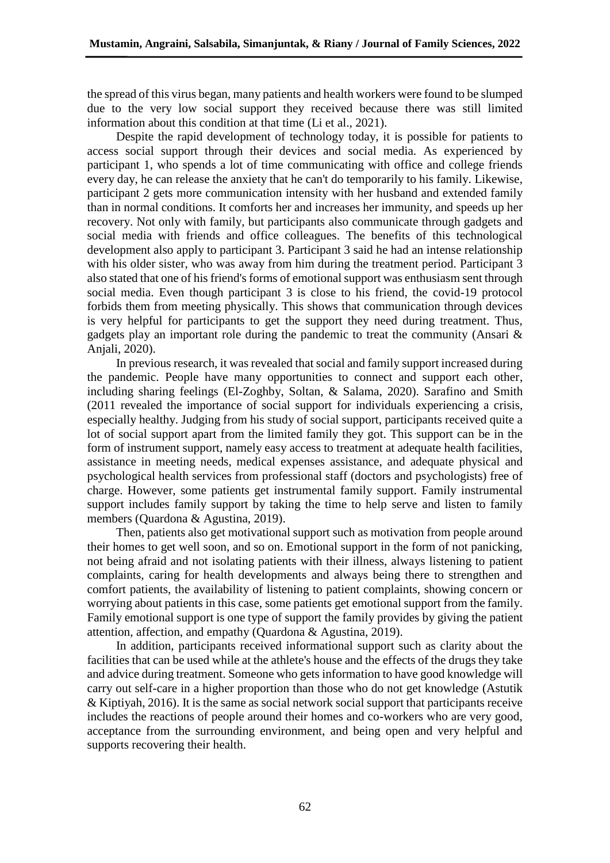the spread of this virus began, many patients and health workers were found to be slumped due to the very low social support they received because there was still limited information about this condition at that time (Li et al., 2021).

Despite the rapid development of technology today, it is possible for patients to access social support through their devices and social media. As experienced by participant 1, who spends a lot of time communicating with office and college friends every day, he can release the anxiety that he can't do temporarily to his family. Likewise, participant 2 gets more communication intensity with her husband and extended family than in normal conditions. It comforts her and increases her immunity, and speeds up her recovery. Not only with family, but participants also communicate through gadgets and social media with friends and office colleagues. The benefits of this technological development also apply to participant 3. Participant 3 said he had an intense relationship with his older sister, who was away from him during the treatment period. Participant 3 also stated that one of his friend's forms of emotional support was enthusiasm sent through social media. Even though participant 3 is close to his friend, the covid-19 protocol forbids them from meeting physically. This shows that communication through devices is very helpful for participants to get the support they need during treatment. Thus, gadgets play an important role during the pandemic to treat the community (Ansari & Anjali, 2020).

In previous research, it was revealed that social and family support increased during the pandemic. People have many opportunities to connect and support each other, including sharing feelings (El-Zoghby, Soltan, & Salama, 2020). Sarafino and Smith (2011 revealed the importance of social support for individuals experiencing a crisis, especially healthy. Judging from his study of social support, participants received quite a lot of social support apart from the limited family they got. This support can be in the form of instrument support, namely easy access to treatment at adequate health facilities, assistance in meeting needs, medical expenses assistance, and adequate physical and psychological health services from professional staff (doctors and psychologists) free of charge. However, some patients get instrumental family support. Family instrumental support includes family support by taking the time to help serve and listen to family members (Quardona & Agustina, 2019).

Then, patients also get motivational support such as motivation from people around their homes to get well soon, and so on. Emotional support in the form of not panicking, not being afraid and not isolating patients with their illness, always listening to patient complaints, caring for health developments and always being there to strengthen and comfort patients, the availability of listening to patient complaints, showing concern or worrying about patients in this case, some patients get emotional support from the family. Family emotional support is one type of support the family provides by giving the patient attention, affection, and empathy (Quardona & Agustina, 2019).

In addition, participants received informational support such as clarity about the facilities that can be used while at the athlete's house and the effects of the drugs they take and advice during treatment. Someone who gets information to have good knowledge will carry out self-care in a higher proportion than those who do not get knowledge (Astutik & Kiptiyah, 2016). It is the same as social network social support that participants receive includes the reactions of people around their homes and co-workers who are very good, acceptance from the surrounding environment, and being open and very helpful and supports recovering their health.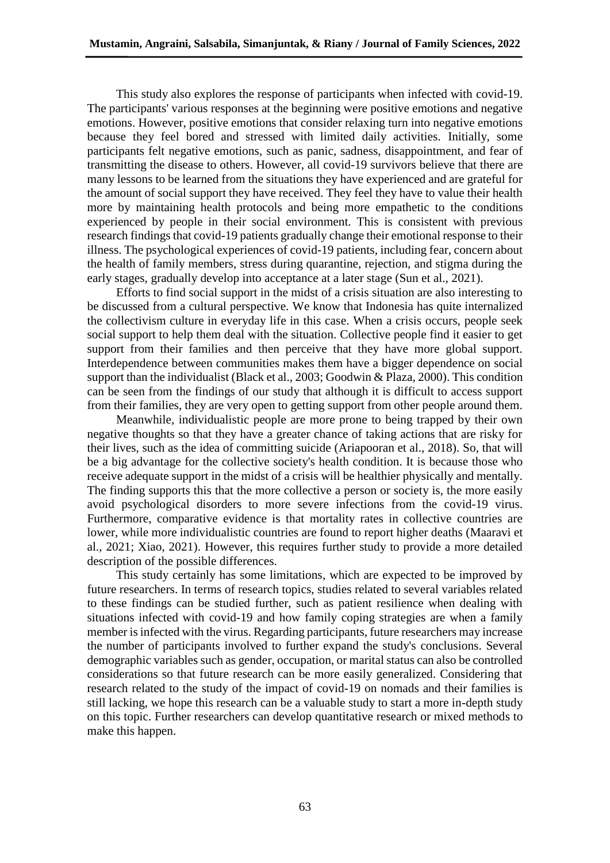This study also explores the response of participants when infected with covid-19. The participants' various responses at the beginning were positive emotions and negative emotions. However, positive emotions that consider relaxing turn into negative emotions because they feel bored and stressed with limited daily activities. Initially, some participants felt negative emotions, such as panic, sadness, disappointment, and fear of transmitting the disease to others. However, all covid-19 survivors believe that there are many lessons to be learned from the situations they have experienced and are grateful for the amount of social support they have received. They feel they have to value their health more by maintaining health protocols and being more empathetic to the conditions experienced by people in their social environment. This is consistent with previous research findings that covid-19 patients gradually change their emotional response to their illness. The psychological experiences of covid-19 patients, including fear, concern about the health of family members, stress during quarantine, rejection, and stigma during the early stages, gradually develop into acceptance at a later stage (Sun et al., 2021).

Efforts to find social support in the midst of a crisis situation are also interesting to be discussed from a cultural perspective. We know that Indonesia has quite internalized the collectivism culture in everyday life in this case. When a crisis occurs, people seek social support to help them deal with the situation. Collective people find it easier to get support from their families and then perceive that they have more global support. Interdependence between communities makes them have a bigger dependence on social support than the individualist (Black et al., 2003; Goodwin & Plaza, 2000). This condition can be seen from the findings of our study that although it is difficult to access support from their families, they are very open to getting support from other people around them.

Meanwhile, individualistic people are more prone to being trapped by their own negative thoughts so that they have a greater chance of taking actions that are risky for their lives, such as the idea of committing suicide (Ariapooran et al., 2018). So, that will be a big advantage for the collective society's health condition. It is because those who receive adequate support in the midst of a crisis will be healthier physically and mentally. The finding supports this that the more collective a person or society is, the more easily avoid psychological disorders to more severe infections from the covid-19 virus. Furthermore, comparative evidence is that mortality rates in collective countries are lower, while more individualistic countries are found to report higher deaths (Maaravi et al., 2021; Xiao, 2021). However, this requires further study to provide a more detailed description of the possible differences.

This study certainly has some limitations, which are expected to be improved by future researchers. In terms of research topics, studies related to several variables related to these findings can be studied further, such as patient resilience when dealing with situations infected with covid-19 and how family coping strategies are when a family member is infected with the virus. Regarding participants, future researchers may increase the number of participants involved to further expand the study's conclusions. Several demographic variables such as gender, occupation, or marital status can also be controlled considerations so that future research can be more easily generalized. Considering that research related to the study of the impact of covid-19 on nomads and their families is still lacking, we hope this research can be a valuable study to start a more in-depth study on this topic. Further researchers can develop quantitative research or mixed methods to make this happen.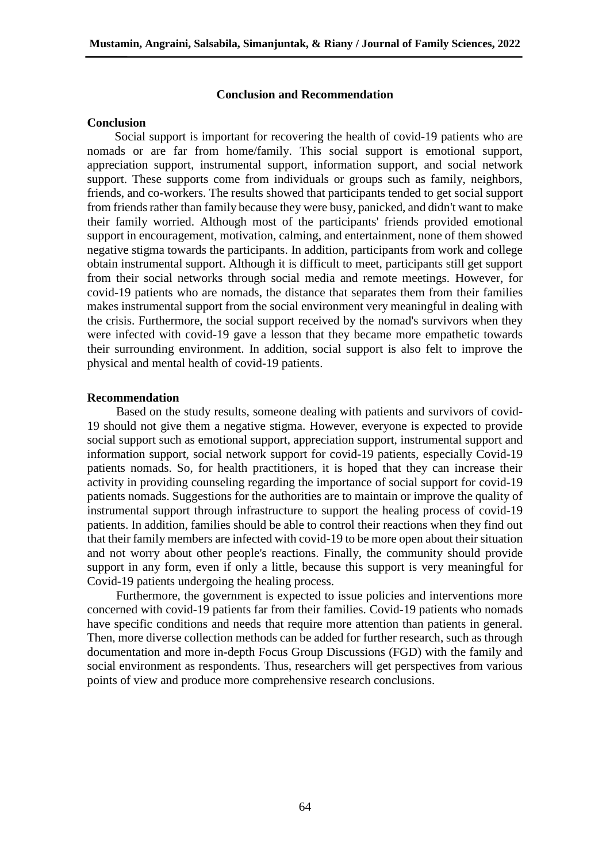#### **Conclusion and Recommendation**

#### **Conclusion**

Social support is important for recovering the health of covid-19 patients who are nomads or are far from home/family. This social support is emotional support, appreciation support, instrumental support, information support, and social network support. These supports come from individuals or groups such as family, neighbors, friends, and co-workers. The results showed that participants tended to get social support from friends rather than family because they were busy, panicked, and didn't want to make their family worried. Although most of the participants' friends provided emotional support in encouragement, motivation, calming, and entertainment, none of them showed negative stigma towards the participants. In addition, participants from work and college obtain instrumental support. Although it is difficult to meet, participants still get support from their social networks through social media and remote meetings. However, for covid-19 patients who are nomads, the distance that separates them from their families makes instrumental support from the social environment very meaningful in dealing with the crisis. Furthermore, the social support received by the nomad's survivors when they were infected with covid-19 gave a lesson that they became more empathetic towards their surrounding environment. In addition, social support is also felt to improve the physical and mental health of covid-19 patients.

## **Recommendation**

Based on the study results, someone dealing with patients and survivors of covid-19 should not give them a negative stigma. However, everyone is expected to provide social support such as emotional support, appreciation support, instrumental support and information support, social network support for covid-19 patients, especially Covid-19 patients nomads. So, for health practitioners, it is hoped that they can increase their activity in providing counseling regarding the importance of social support for covid-19 patients nomads. Suggestions for the authorities are to maintain or improve the quality of instrumental support through infrastructure to support the healing process of covid-19 patients. In addition, families should be able to control their reactions when they find out that their family members are infected with covid-19 to be more open about their situation and not worry about other people's reactions. Finally, the community should provide support in any form, even if only a little, because this support is very meaningful for Covid-19 patients undergoing the healing process.

Furthermore, the government is expected to issue policies and interventions more concerned with covid-19 patients far from their families. Covid-19 patients who nomads have specific conditions and needs that require more attention than patients in general. Then, more diverse collection methods can be added for further research, such as through documentation and more in-depth Focus Group Discussions (FGD) with the family and social environment as respondents. Thus, researchers will get perspectives from various points of view and produce more comprehensive research conclusions.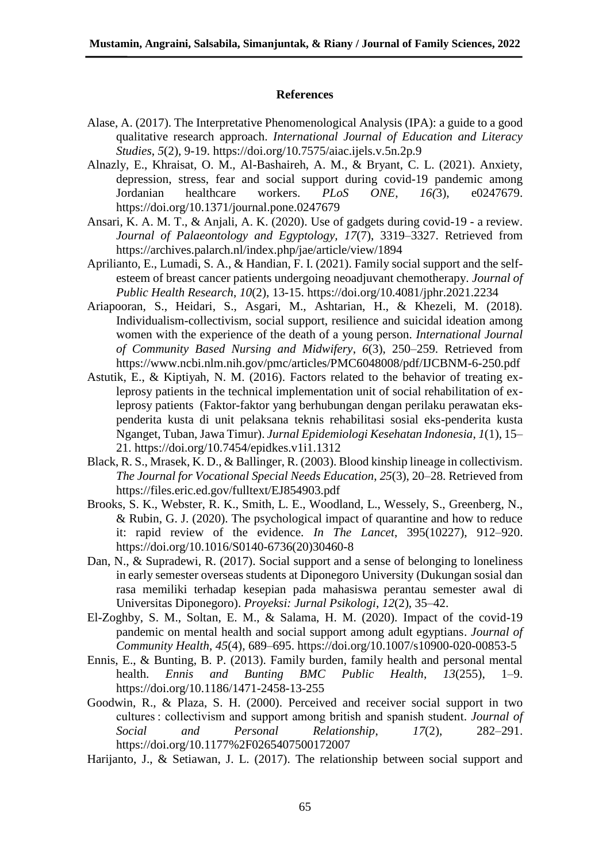## **References**

- Alase, A. (2017). The Interpretative Phenomenological Analysis (IPA): a guide to a good qualitative research approach. *International Journal of Education and Literacy Studies*, *5*(2), 9-19. https://doi.org/10.7575/aiac.ijels.v.5n.2p.9
- Alnazly, E., Khraisat, O. M., Al-Bashaireh, A. M., & Bryant, C. L. (2021). Anxiety, depression, stress, fear and social support during covid-19 pandemic among Jordanian healthcare workers. *PLoS ONE*, *16(*3), e0247679. https://doi.org/10.1371/journal.pone.0247679
- Ansari, K. A. M. T., & Anjali, A. K. (2020). Use of gadgets during covid-19 a review. *Journal of Palaeontology and Egyptology, 17*(7), 3319–3327. Retrieved from https://archives.palarch.nl/index.php/jae/article/view/1894
- Aprilianto, E., Lumadi, S. A., & Handian, F. I. (2021). Family social support and the selfesteem of breast cancer patients undergoing neoadjuvant chemotherapy. *Journal of Public Health Research*, *10*(2), 13-15. https://doi.org/10.4081/jphr.2021.2234
- Ariapooran, S., Heidari, S., Asgari, M., Ashtarian, H., & Khezeli, M. (2018). Individualism-collectivism, social support, resilience and suicidal ideation among women with the experience of the death of a young person. *International Journal of Community Based Nursing and Midwifery*, *6*(3), 250–259. Retrieved from https://www.ncbi.nlm.nih.gov/pmc/articles/PMC6048008/pdf/IJCBNM-6-250.pdf
- Astutik, E., & Kiptiyah, N. M. (2016). Factors related to the behavior of treating exleprosy patients in the technical implementation unit of social rehabilitation of exleprosy patients (Faktor-faktor yang berhubungan dengan perilaku perawatan ekspenderita kusta di unit pelaksana teknis rehabilitasi sosial eks-penderita kusta Nganget, Tuban, Jawa Timur). *Jurnal Epidemiologi Kesehatan Indonesia*, *1*(1), 15– 21. https://doi.org/10.7454/epidkes.v1i1.1312
- Black, R. S., Mrasek, K. D., & Ballinger, R. (2003). Blood kinship lineage in collectivism. *The Journal for Vocational Special Needs Education*, *25*(3), 20–28. Retrieved from https://files.eric.ed.gov/fulltext/EJ854903.pdf
- Brooks, S. K., Webster, R. K., Smith, L. E., Woodland, L., Wessely, S., Greenberg, N., & Rubin, G. J. (2020). The psychological impact of quarantine and how to reduce it: rapid review of the evidence. *In The Lancet*, 395(10227), 912–920. https://doi.org/10.1016/S0140-6736(20)30460-8
- Dan, N., & Supradewi, R. (2017). Social support and a sense of belonging to loneliness in early semester overseas students at Diponegoro University (Dukungan sosial dan rasa memiliki terhadap kesepian pada mahasiswa perantau semester awal di Universitas Diponegoro). *Proyeksi: Jurnal Psikologi*, *12*(2), 35–42.
- El-Zoghby, S. M., Soltan, E. M., & Salama, H. M. (2020). Impact of the covid-19 pandemic on mental health and social support among adult egyptians. *Journal of Community Health*, *45*(4), 689–695. https://doi.org/10.1007/s10900-020-00853-5
- Ennis, E., & Bunting, B. P. (2013). Family burden, family health and personal mental health. *Ennis and Bunting BMC Public Health*, *13*(255), 1–9. https://doi.org/10.1186/1471-2458-13-255
- Goodwin, R., & Plaza, S. H. (2000). Perceived and receiver social support in two cultures : collectivism and support among british and spanish student. *Journal of Social and Personal Relationship*, *17*(2), 282–291. https://doi.org/10.1177%2F0265407500172007
- Harijanto, J., & Setiawan, J. L. (2017). The relationship between social support and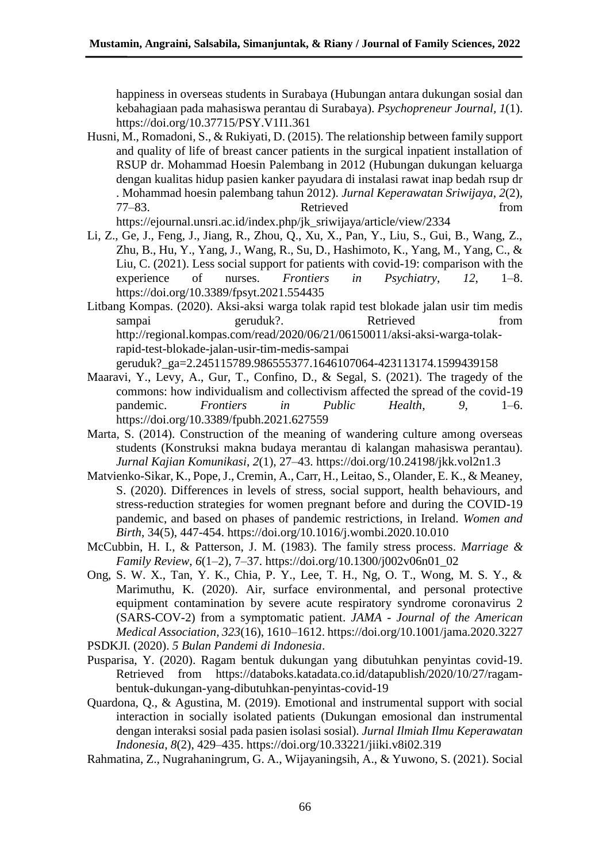happiness in overseas students in Surabaya (Hubungan antara dukungan sosial dan kebahagiaan pada mahasiswa perantau di Surabaya). *Psychopreneur Journal, 1*(1). https://doi.org/10.37715/PSY.V1I1.361

Husni, M., Romadoni, S., & Rukiyati, D. (2015). The relationship between family support and quality of life of breast cancer patients in the surgical inpatient installation of RSUP dr. Mohammad Hoesin Palembang in 2012 (Hubungan dukungan keluarga dengan kualitas hidup pasien kanker payudara di instalasi rawat inap bedah rsup dr . Mohammad hoesin palembang tahun 2012). *Jurnal Keperawatan Sriwijaya*, *2*(2), 77–83. Retrieved from

https://ejournal.unsri.ac.id/index.php/jk\_sriwijaya/article/view/2334

- Li, Z., Ge, J., Feng, J., Jiang, R., Zhou, Q., Xu, X., Pan, Y., Liu, S., Gui, B., Wang, Z., Zhu, B., Hu, Y., Yang, J., Wang, R., Su, D., Hashimoto, K., Yang, M., Yang, C., & Liu, C. (2021). Less social support for patients with covid-19: comparison with the experience of nurses. *Frontiers in Psychiatry*, *12*, 1–8. https://doi.org/10.3389/fpsyt.2021.554435
- Litbang Kompas. (2020). Aksi-aksi warga tolak rapid test blokade jalan usir tim medis sampai geruduk?. Retrieved from http://regional.kompas.com/read/2020/06/21/06150011/aksi-aksi-warga-tolakrapid-test-blokade-jalan-usir-tim-medis-sampai geruduk?\_ga=2.245115789.986555377.1646107064-423113174.1599439158
- Maaravi, Y., Levy, A., Gur, T., Confino, D., & Segal, S. (2021). The tragedy of the commons: how individualism and collectivism affected the spread of the covid-19 pandemic. *Frontiers in Public Health*, *9*, 1–6. https://doi.org/10.3389/fpubh.2021.627559
- Marta, S. (2014). Construction of the meaning of wandering culture among overseas students (Konstruksi makna budaya merantau di kalangan mahasiswa perantau). *Jurnal Kajian Komunikasi*, *2*(1), 27–43. https://doi.org/10.24198/jkk.vol2n1.3
- Matvienko-Sikar, K., Pope, J., Cremin, A., Carr, H., Leitao, S., Olander, E. K., & Meaney, S. (2020). Differences in levels of stress, social support, health behaviours, and stress-reduction strategies for women pregnant before and during the COVID-19 pandemic, and based on phases of pandemic restrictions, in Ireland. *Women and Birth*, 34(5), 447-454. https://doi.org/10.1016/j.wombi.2020.10.010
- McCubbin, H. I., & Patterson, J. M. (1983). The family stress process. *Marriage & Family Review*, *6*(1–2), 7–37. https://doi.org/10.1300/j002v06n01\_02
- Ong, S. W. X., Tan, Y. K., Chia, P. Y., Lee, T. H., Ng, O. T., Wong, M. S. Y., & Marimuthu, K. (2020). Air, surface environmental, and personal protective equipment contamination by severe acute respiratory syndrome coronavirus 2 (SARS-COV-2) from a symptomatic patient. *JAMA - Journal of the American Medical Association*, *323*(16), 1610–1612. https://doi.org/10.1001/jama.2020.3227

PSDKJI. (2020). *5 Bulan Pandemi di Indonesia*.

- Pusparisa, Y. (2020). Ragam bentuk dukungan yang dibutuhkan penyintas covid-19. Retrieved from https://databoks.katadata.co.id/datapublish/2020/10/27/ragambentuk-dukungan-yang-dibutuhkan-penyintas-covid-19
- Quardona, Q., & Agustina, M. (2019). Emotional and instrumental support with social interaction in socially isolated patients (Dukungan emosional dan instrumental dengan interaksi sosial pada pasien isolasi sosial). *Jurnal Ilmiah Ilmu Keperawatan Indonesia*, *8*(2), 429–435. https://doi.org/10.33221/jiiki.v8i02.319
- Rahmatina, Z., Nugrahaningrum, G. A., Wijayaningsih, A., & Yuwono, S. (2021). Social